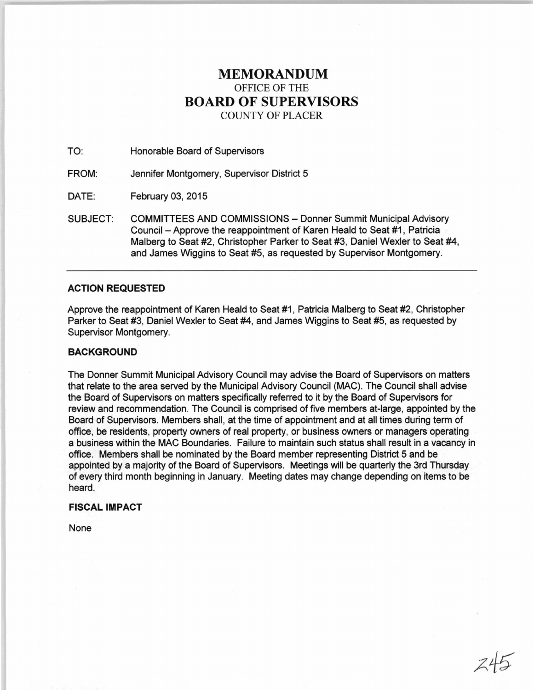# **MEMORANDUM**  OFFICE OF THE **BOARD OF SUPERVISORS**  COUNTY OF PLACER

TO: Honorable Board of Supervisors

FROM: Jennifer Montgomery, Supervisor District 5

DATE: February 03, 2015

SUBJECT: COMMITTEES AND COMMISSIONS- Donner Summit Municipal Advisory Council - Approve the reappointment of Karen Heald to Seat #1 , Patricia Malberg to Seat #2, Christopher Parker to Seat #3, Daniel Wexler to Seat #4, and James Wiggins to Seat #5, as requested by Supervisor Montgomery.

## **ACTION REQUESTED**

Approve the reappointment of Karen Heald to Seat #1, Patricia Malberg to Seat #2, Christopher Parker to Seat #3, Daniel Wexler to Seat #4, and James Wiggins to Seat #5, as requested by Supervisor Montgomery.

## **BACKGROUND**

The Donner Summit Municipal Advisory Council may advise the Board of Supervisors on matters that relate to the area served by the Municipal Advisory Council (MAC). The Council shall advise the Board of Supervisors on matters specifically referred to it by the Board of Supervisors for review and recommendation. The Council is comprised of five members at-large, appointed by the Board of Supervisors. Members shall, at the time of appointment and at all times during term of office, be residents, property owners of real property, or business owners or managers operating a business within the MAC Boundaries. Failure to maintain such status shall result in a vacancy in office. Members shall be nominated by the Board member representing District 5 and be appointed by a majority of the Board of Supervisors. Meetings will be quarterly the 3rd Thursday of every third month beginning in January. Meeting dates may change depending on items to be heard.

## **FISCAL IMPACT**

None